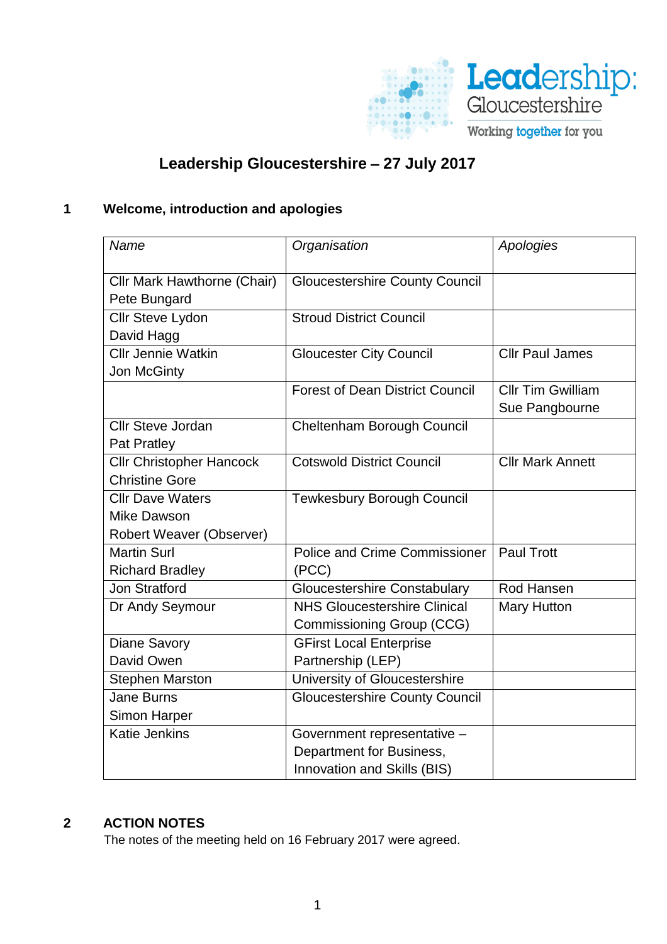

# **Leadership Gloucestershire** – **27 July 2017**

# **1 Welcome, introduction and apologies**

| Name                             | Organisation                           | Apologies               |
|----------------------------------|----------------------------------------|-------------------------|
|                                  |                                        |                         |
| Cllr Mark Hawthorne (Chair)      | <b>Gloucestershire County Council</b>  |                         |
| Pete Bungard                     | <b>Stroud District Council</b>         |                         |
| Cllr Steve Lydon                 |                                        |                         |
| David Hagg<br>Cllr Jennie Watkin |                                        | <b>Cllr Paul James</b>  |
|                                  | <b>Gloucester City Council</b>         |                         |
| Jon McGinty                      | <b>Forest of Dean District Council</b> | Cllr Tim Gwilliam       |
|                                  |                                        |                         |
|                                  |                                        | Sue Pangbourne          |
| <b>Cllr Steve Jordan</b>         | Cheltenham Borough Council             |                         |
| <b>Pat Pratley</b>               |                                        |                         |
| <b>Cllr Christopher Hancock</b>  | <b>Cotswold District Council</b>       | <b>Cllr Mark Annett</b> |
| <b>Christine Gore</b>            |                                        |                         |
| <b>Cllr Dave Waters</b>          | <b>Tewkesbury Borough Council</b>      |                         |
| Mike Dawson                      |                                        |                         |
| Robert Weaver (Observer)         |                                        |                         |
| <b>Martin Surl</b>               | <b>Police and Crime Commissioner</b>   | <b>Paul Trott</b>       |
| <b>Richard Bradley</b>           | (PCC)                                  |                         |
| <b>Jon Stratford</b>             | <b>Gloucestershire Constabulary</b>    | Rod Hansen              |
| Dr Andy Seymour                  | <b>NHS Gloucestershire Clinical</b>    | <b>Mary Hutton</b>      |
|                                  | Commissioning Group (CCG)              |                         |
| <b>Diane Savory</b>              | <b>GFirst Local Enterprise</b>         |                         |
| David Owen                       | Partnership (LEP)                      |                         |
| <b>Stephen Marston</b>           | University of Gloucestershire          |                         |
| <b>Jane Burns</b>                | <b>Gloucestershire County Council</b>  |                         |
| <b>Simon Harper</b>              |                                        |                         |
| <b>Katie Jenkins</b>             | Government representative -            |                         |
|                                  | Department for Business,               |                         |
|                                  | Innovation and Skills (BIS)            |                         |

#### **2 ACTION NOTES**

The notes of the meeting held on 16 February 2017 were agreed.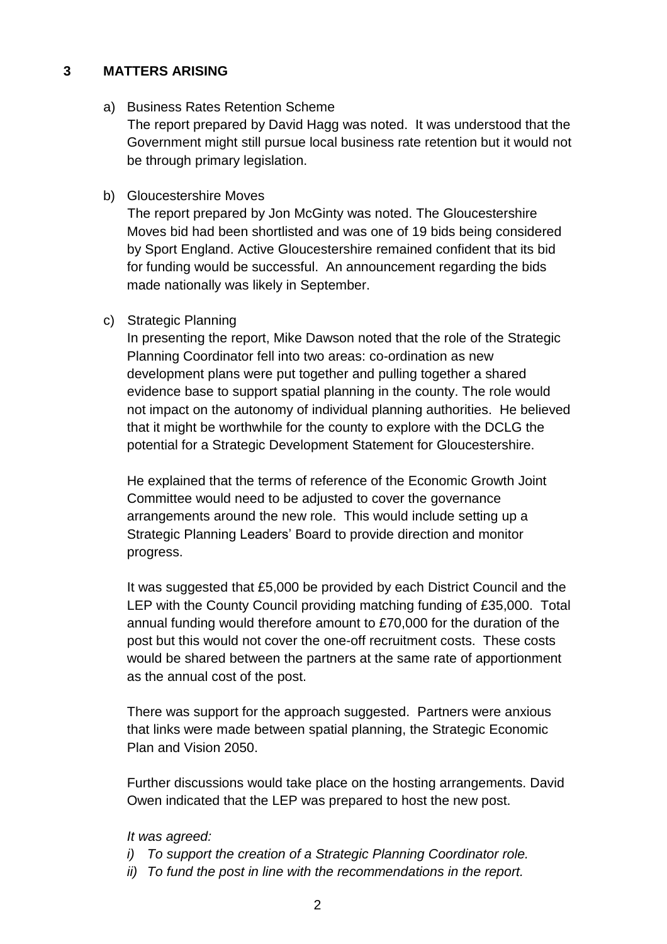#### **3 MATTERS ARISING**

a) Business Rates Retention Scheme

The report prepared by David Hagg was noted. It was understood that the Government might still pursue local business rate retention but it would not be through primary legislation.

b) Gloucestershire Moves

The report prepared by Jon McGinty was noted. The Gloucestershire Moves bid had been shortlisted and was one of 19 bids being considered by Sport England. Active Gloucestershire remained confident that its bid for funding would be successful. An announcement regarding the bids made nationally was likely in September.

c) Strategic Planning

In presenting the report, Mike Dawson noted that the role of the Strategic Planning Coordinator fell into two areas: co-ordination as new development plans were put together and pulling together a shared evidence base to support spatial planning in the county. The role would not impact on the autonomy of individual planning authorities. He believed that it might be worthwhile for the county to explore with the DCLG the potential for a Strategic Development Statement for Gloucestershire.

He explained that the terms of reference of the Economic Growth Joint Committee would need to be adjusted to cover the governance arrangements around the new role. This would include setting up a Strategic Planning Leaders' Board to provide direction and monitor progress.

It was suggested that £5,000 be provided by each District Council and the LEP with the County Council providing matching funding of £35,000. Total annual funding would therefore amount to £70,000 for the duration of the post but this would not cover the one-off recruitment costs. These costs would be shared between the partners at the same rate of apportionment as the annual cost of the post.

There was support for the approach suggested. Partners were anxious that links were made between spatial planning, the Strategic Economic Plan and Vision 2050.

Further discussions would take place on the hosting arrangements. David Owen indicated that the LEP was prepared to host the new post.

*It was agreed:*

- *i) To support the creation of a Strategic Planning Coordinator role.*
- *ii) To fund the post in line with the recommendations in the report.*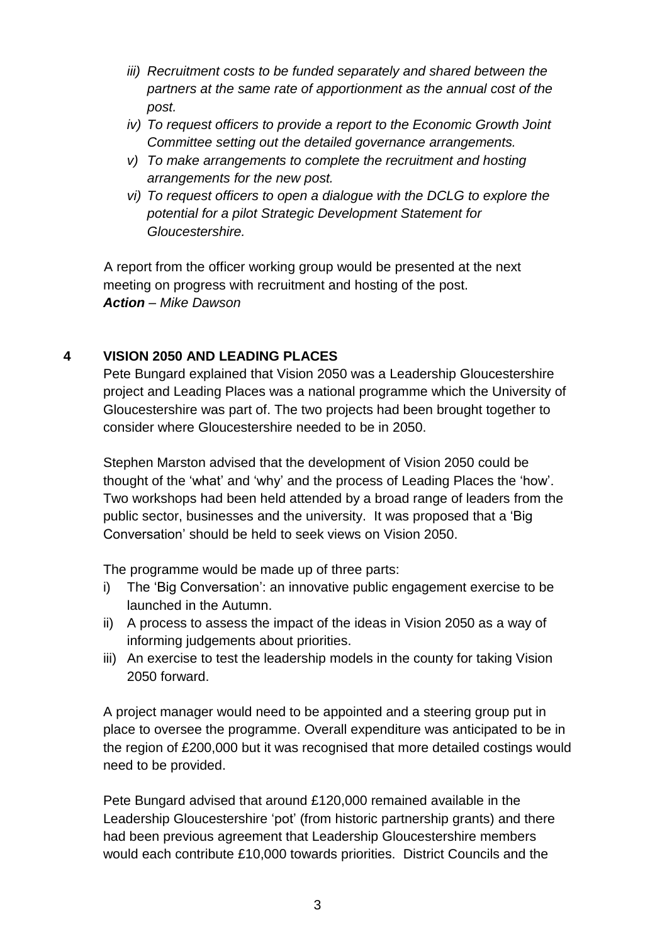- *iii) Recruitment costs to be funded separately and shared between the partners at the same rate of apportionment as the annual cost of the post.*
- *iv) To request officers to provide a report to the Economic Growth Joint Committee setting out the detailed governance arrangements.*
- *v) To make arrangements to complete the recruitment and hosting arrangements for the new post.*
- *vi) To request officers to open a dialogue with the DCLG to explore the potential for a pilot Strategic Development Statement for Gloucestershire.*

A report from the officer working group would be presented at the next meeting on progress with recruitment and hosting of the post. *Action – Mike Dawson*

### **4 VISION 2050 AND LEADING PLACES**

Pete Bungard explained that Vision 2050 was a Leadership Gloucestershire project and Leading Places was a national programme which the University of Gloucestershire was part of. The two projects had been brought together to consider where Gloucestershire needed to be in 2050.

Stephen Marston advised that the development of Vision 2050 could be thought of the 'what' and 'why' and the process of Leading Places the 'how'. Two workshops had been held attended by a broad range of leaders from the public sector, businesses and the university. It was proposed that a 'Big Conversation' should be held to seek views on Vision 2050.

The programme would be made up of three parts:

- i) The 'Big Conversation': an innovative public engagement exercise to be launched in the Autumn.
- ii) A process to assess the impact of the ideas in Vision 2050 as a way of informing judgements about priorities.
- iii) An exercise to test the leadership models in the county for taking Vision 2050 forward.

A project manager would need to be appointed and a steering group put in place to oversee the programme. Overall expenditure was anticipated to be in the region of £200,000 but it was recognised that more detailed costings would need to be provided.

Pete Bungard advised that around £120,000 remained available in the Leadership Gloucestershire 'pot' (from historic partnership grants) and there had been previous agreement that Leadership Gloucestershire members would each contribute £10,000 towards priorities. District Councils and the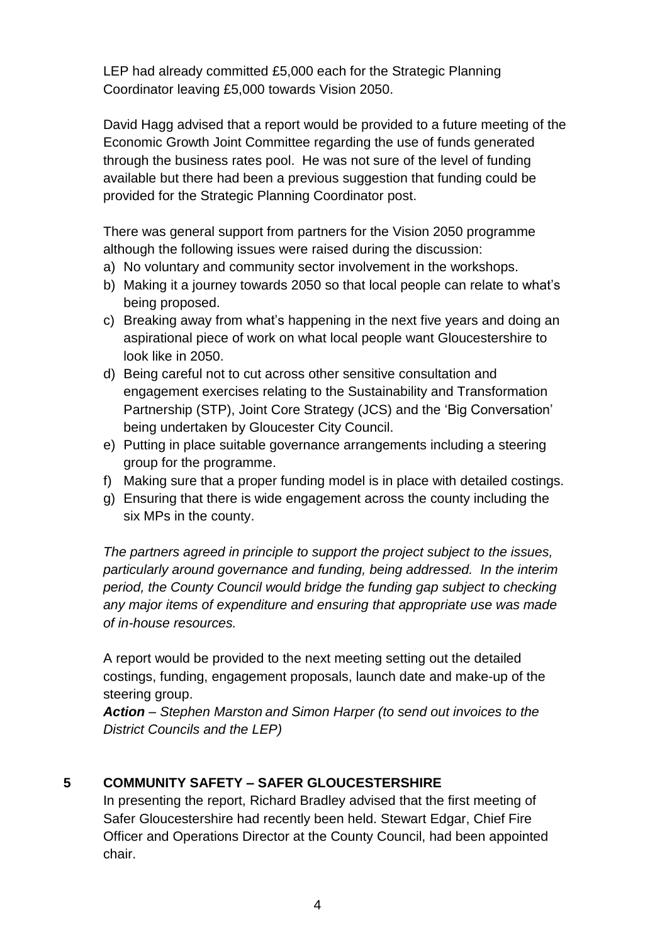LEP had already committed £5,000 each for the Strategic Planning Coordinator leaving £5,000 towards Vision 2050.

David Hagg advised that a report would be provided to a future meeting of the Economic Growth Joint Committee regarding the use of funds generated through the business rates pool. He was not sure of the level of funding available but there had been a previous suggestion that funding could be provided for the Strategic Planning Coordinator post.

There was general support from partners for the Vision 2050 programme although the following issues were raised during the discussion:

- a) No voluntary and community sector involvement in the workshops.
- b) Making it a journey towards 2050 so that local people can relate to what's being proposed.
- c) Breaking away from what's happening in the next five years and doing an aspirational piece of work on what local people want Gloucestershire to look like in 2050.
- d) Being careful not to cut across other sensitive consultation and engagement exercises relating to the Sustainability and Transformation Partnership (STP), Joint Core Strategy (JCS) and the 'Big Conversation' being undertaken by Gloucester City Council.
- e) Putting in place suitable governance arrangements including a steering group for the programme.
- f) Making sure that a proper funding model is in place with detailed costings.
- g) Ensuring that there is wide engagement across the county including the six MPs in the county.

*The partners agreed in principle to support the project subject to the issues, particularly around governance and funding, being addressed. In the interim period, the County Council would bridge the funding gap subject to checking any major items of expenditure and ensuring that appropriate use was made of in-house resources.* 

A report would be provided to the next meeting setting out the detailed costings, funding, engagement proposals, launch date and make-up of the steering group.

*Action – Stephen Marston and Simon Harper (to send out invoices to the District Councils and the LEP)*

# **5 COMMUNITY SAFETY – SAFER GLOUCESTERSHIRE**

In presenting the report, Richard Bradley advised that the first meeting of Safer Gloucestershire had recently been held. Stewart Edgar, Chief Fire Officer and Operations Director at the County Council, had been appointed chair.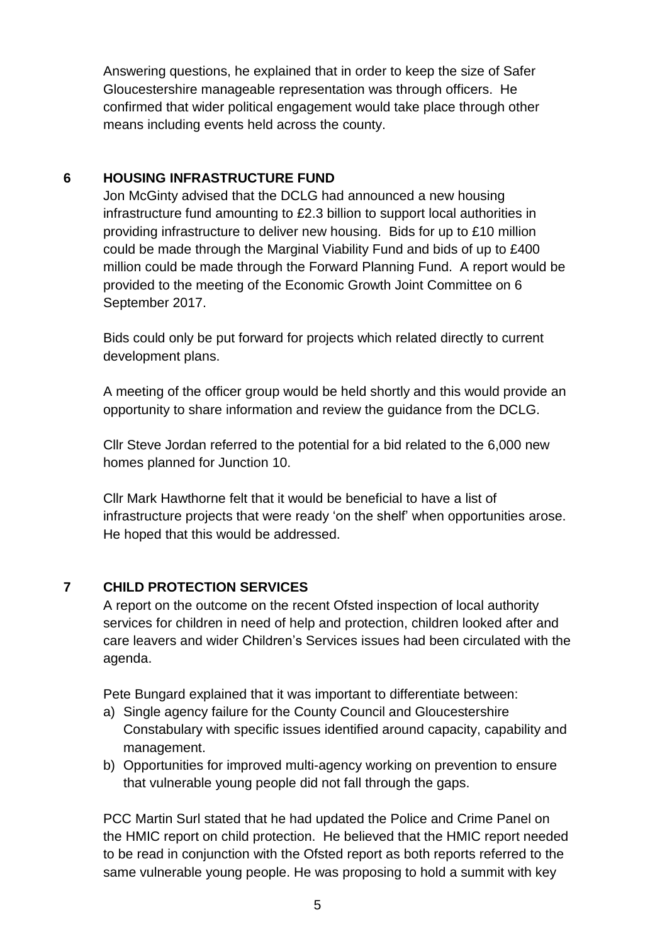Answering questions, he explained that in order to keep the size of Safer Gloucestershire manageable representation was through officers. He confirmed that wider political engagement would take place through other means including events held across the county.

### **6 HOUSING INFRASTRUCTURE FUND**

Jon McGinty advised that the DCLG had announced a new housing infrastructure fund amounting to £2.3 billion to support local authorities in providing infrastructure to deliver new housing. Bids for up to £10 million could be made through the Marginal Viability Fund and bids of up to £400 million could be made through the Forward Planning Fund. A report would be provided to the meeting of the Economic Growth Joint Committee on 6 September 2017.

Bids could only be put forward for projects which related directly to current development plans.

A meeting of the officer group would be held shortly and this would provide an opportunity to share information and review the guidance from the DCLG.

Cllr Steve Jordan referred to the potential for a bid related to the 6,000 new homes planned for Junction 10.

Cllr Mark Hawthorne felt that it would be beneficial to have a list of infrastructure projects that were ready 'on the shelf' when opportunities arose. He hoped that this would be addressed.

# **7 CHILD PROTECTION SERVICES**

A report on the outcome on the recent Ofsted inspection of local authority services for children in need of help and protection, children looked after and care leavers and wider Children's Services issues had been circulated with the agenda.

Pete Bungard explained that it was important to differentiate between:

- a) Single agency failure for the County Council and Gloucestershire Constabulary with specific issues identified around capacity, capability and management.
- b) Opportunities for improved multi-agency working on prevention to ensure that vulnerable young people did not fall through the gaps.

PCC Martin Surl stated that he had updated the Police and Crime Panel on the HMIC report on child protection. He believed that the HMIC report needed to be read in conjunction with the Ofsted report as both reports referred to the same vulnerable young people. He was proposing to hold a summit with key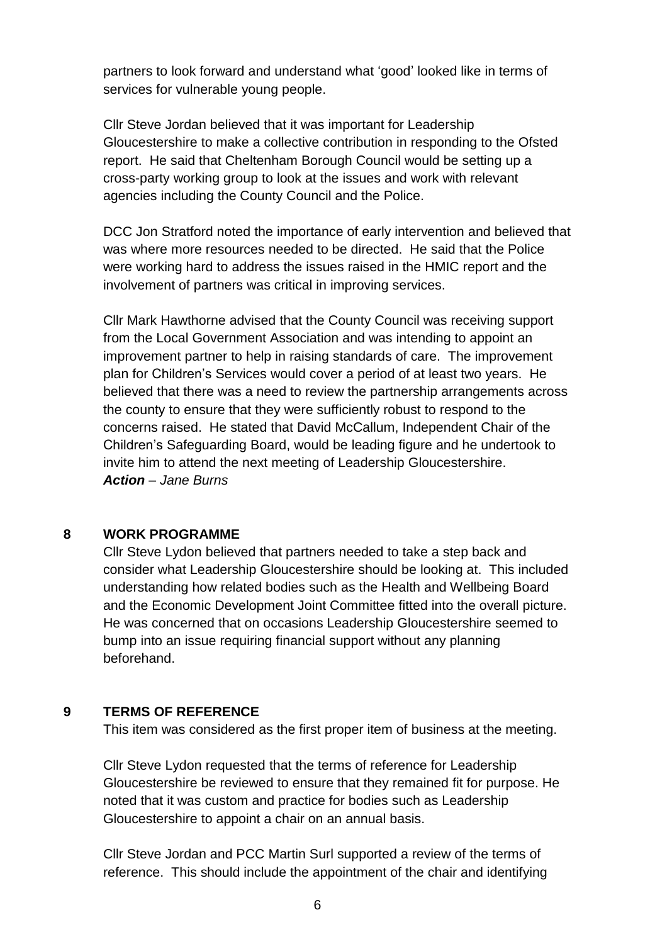partners to look forward and understand what 'good' looked like in terms of services for vulnerable young people.

Cllr Steve Jordan believed that it was important for Leadership Gloucestershire to make a collective contribution in responding to the Ofsted report. He said that Cheltenham Borough Council would be setting up a cross-party working group to look at the issues and work with relevant agencies including the County Council and the Police.

DCC Jon Stratford noted the importance of early intervention and believed that was where more resources needed to be directed. He said that the Police were working hard to address the issues raised in the HMIC report and the involvement of partners was critical in improving services.

Cllr Mark Hawthorne advised that the County Council was receiving support from the Local Government Association and was intending to appoint an improvement partner to help in raising standards of care. The improvement plan for Children's Services would cover a period of at least two years. He believed that there was a need to review the partnership arrangements across the county to ensure that they were sufficiently robust to respond to the concerns raised. He stated that David McCallum, Independent Chair of the Children's Safeguarding Board, would be leading figure and he undertook to invite him to attend the next meeting of Leadership Gloucestershire. *Action – Jane Burns*

#### **8 WORK PROGRAMME**

Cllr Steve Lydon believed that partners needed to take a step back and consider what Leadership Gloucestershire should be looking at. This included understanding how related bodies such as the Health and Wellbeing Board and the Economic Development Joint Committee fitted into the overall picture. He was concerned that on occasions Leadership Gloucestershire seemed to bump into an issue requiring financial support without any planning beforehand.

#### **9 TERMS OF REFERENCE**

This item was considered as the first proper item of business at the meeting.

Cllr Steve Lydon requested that the terms of reference for Leadership Gloucestershire be reviewed to ensure that they remained fit for purpose. He noted that it was custom and practice for bodies such as Leadership Gloucestershire to appoint a chair on an annual basis.

Cllr Steve Jordan and PCC Martin Surl supported a review of the terms of reference. This should include the appointment of the chair and identifying